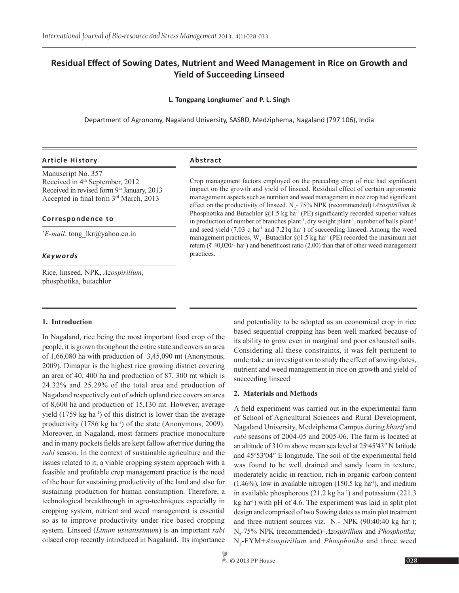# **Residual Effect of Sowing Dates, Nutrient and Weed Management in Rice on Growth and Yield of Succeeding Linseed**

## **L. Tongpang Longkumer\* and P. L. Singh**

Department of Agronomy, Nagaland University, SASRD, Medziphema, Nagaland (797 106), India

## **Article History Abstract**

Manuscript No. 357 Received in 4<sup>th</sup> September, 2012 Received in revised form 9th January, 2013 Accepted in final form 3rd March, 2013

#### **Correspondence to**

*\* E-mail*: tong\_lkr@yahoo.co.in

#### *Keywords*

Rice, linseed, NPK, *Azospirillum*, phosphotika, butachlor

Crop management factors employed on the preceding crop of rice had significant impact on the growth and yield of linseed. Residual effect of certain agronomic management aspects such as nutrition and weed management in rice crop had significant effect on the productivity of linseed. N<sub>2</sub>-75% NPK (recommended)+*Azospirillum* & Phosphotika and Butachlor  $@1.5$  kg ha<sup>-1</sup> (PE) significantly recorded superior values in production of number of branches plant<sup>-1</sup>, dry weight plant<sup>-1</sup>, number of balls plant<sup>-1</sup> and seed yield  $(7.03 \text{ q ha}^{-1}$  and  $7.21 \text{ q ha}^{-1})$  of succeeding linseed. Among the weed management practices,  $W_3$ - Butachlor @1.5 kg ha<sup>-1</sup> (PE) recorded the maximum net return ( $\bar{\tau}$  40,020/- ha<sup>-1</sup>) and benefit:cost ratio (2.00) than that of other weed management practices.

#### **1. Introduction**

In Nagaland, rice being the most **i**mportant food crop of the people, it is grown throughout the entire state and covers an area of 1,66,080 ha with production of 3,45,090 mt (Anonymous, 2009). Dimapur is the highest rice growing district covering an area of 40, 400 ha and production of 87, 300 mt which is 24.32% and 25.29% of the total area and production of Nagaland respectively out of which upland rice covers an area of 8,600 ha and production of 15,130 mt. However, average yield  $(1759 \text{ kg ha}^{-1})$  of this district is lower than the average productivity  $(1786 \text{ kg ha}^{-1})$  of the state (Anonymous, 2009). Moreover, in Nagaland, most farmers practice monoculture and in many pockets fields are kept fallow after rice during the *rabi* season. In the context of sustainable agriculture and the issues related to it, a viable cropping system approach with a feasible and profitable crop management practice is the need of the hour for sustaining productivity of the land and also for sustaining production for human consumption. Therefore, a technological breakthrough in agro-techniques especially in cropping system, nutrient and weed management is essential so as to improve productivity under rice based cropping system. Linseed (*Linum usitatissimum*) is an important *rabi* oilseed crop recently introduced in Nagaland. Its importance

and potentiality to be adopted as an economical crop in rice based sequential cropping has been well marked because of its ability to grow even in marginal and poor exhausted soils. Considering all these constraints, it was felt pertinent to undertake an investigation to study the effect of sowing dates, nutrient and weed management in rice on growth and yield of succeeding linseed

#### **2. Materials and Methods**

A field experiment was carried out in the experimental farm of School of Agricultural Sciences and Rural Development, Nagaland University, Medziphema Campus during *kharif* and *rabi* seasons of 2004-05 and 2005-06. The farm is located at an altitude of 310 m above mean sea level at 25°45'43" N latitude and 45°53'04" E longitude. The soil of the experimental field was found to be well drained and sandy loam in texture, moderately acidic in reaction, rich in organic carbon content  $(1.46\%)$ , low in available nitrogen  $(150.5 \text{ kg ha}^{-1})$ , and medium in available phosphorous  $(21.2 \text{ kg ha}^{-1})$  and potassium  $(221.3 \text{ kg ha}^{-1})$ kg ha-1) with pH of 4.6. The experiment was laid in split plot design and comprised of two Sowing dates as main plot treatment and three nutrient sources viz.  $N_1$ - NPK (90:40:40 kg ha<sup>-1</sup>); N2 -75% NPK (recommended)+*Azospirillum* and *Phosphotika;*  N3 -FYM+*Azospirillum* and *Phosphotika* and three weed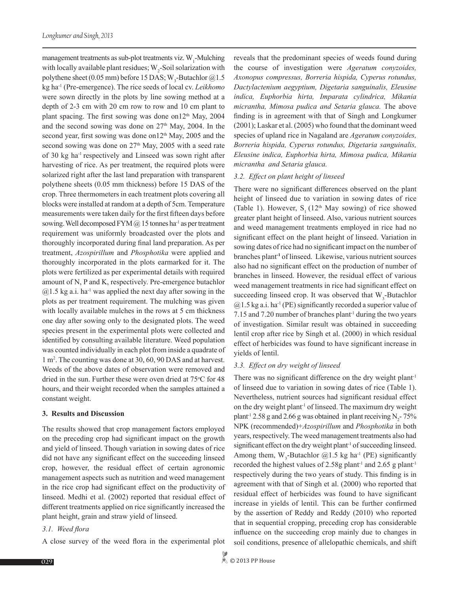management treatments as sub-plot treatments viz. W<sub>1</sub>-Mulching with locally available plant residues;  $W_2$ -Soil solarization with polythene sheet (0.05 mm) before 15 DAS;  $W_3$ -Butachlor @1.5 kg ha-1 (Pre-emergence). The rice seeds of local cv. *Leikhomo* were sown directly in the plots by line sowing method at a depth of 2-3 cm with 20 cm row to row and 10 cm plant to plant spacing. The first sowing was done on  $12<sup>th</sup>$  May, 2004 and the second sowing was done on  $27<sup>th</sup>$  May, 2004. In the second year, first sowing was done on  $12<sup>th</sup>$  May, 2005 and the second sowing was done on  $27<sup>th</sup>$  May, 2005 with a seed rate of 30 kg ha-1 respectively and Linseed was sown right after harvesting of rice. As per treatment, the required plots were solarized right after the last land preparation with transparent polythene sheets (0.05 mm thickness) before 15 DAS of the crop. Three thermometers in each treatment plots covering all blocks were installed at random at a depth of 5cm. Temperature measurements were taken daily for the first fifteen days before sowing. Well decomposed FYM  $\omega$  15 tonnes ha<sup>-1</sup> as per treatment requirement was uniformly broadcasted over the plots and thoroughly incorporated during final land preparation. As per treatment, *Azospirillum* and *Phosphotika* were applied and thoroughly incorporated in the plots earmarked for it. The plots were fertilized as per experimental details with required amount of N, P and K, respectively. Pre-emergence butachlor  $@1.5$  kg a.i. ha<sup>-1</sup> was applied the next day after sowing in the plots as per treatment requirement. The mulching was given with locally available mulches in the rows at 5 cm thickness one day after sowing only to the designated plots. The weed species present in the experimental plots were collected and identified by consulting available literature. Weed population was counted individually in each plot from inside a quadrate of 1 m2 . The counting was done at 30, 60, 90 DAS and at harvest. Weeds of the above dates of observation were removed and dried in the sun. Further these were oven dried at 75°C for 48 hours, and their weight recorded when the samples attained a constant weight.

## **3. Results and Discussion**

The results showed that crop management factors employed on the preceding crop had significant impact on the growth and yield of linseed. Though variation in sowing dates of rice did not have any significant effect on the succeeding linseed crop, however, the residual effect of certain agronomic management aspects such as nutrition and weed management in the rice crop had significant effect on the productivity of linseed. Medhi et al. (2002) reported that residual effect of different treatments applied on rice significantly increased the plant height, grain and straw yield of linseed.

## *3.1. Weed flora*

A close survey of the weed flora in the experimental plot

reveals that the predominant species of weeds found during the course of investigation were *Ageratum conyzoides, Axonopus compressus, Borreria hispida, Cyperus rotundus, Dactylactenium aegyptium, Digetaria sanguinalis, Eleusine indica, Euphorbia hirta, Imparata cylindrica, Mikania micrantha, Mimosa pudica and Setaria glauca.* The above finding is in agreement with that of Singh and Longkumer (2001); Laskar et al. (2005) who found that the dominant weed species of upland rice in Nagaland are *Ageratum conyzoides, Borreria hispida, Cyperus rotundus, Digetaria sanguinalis, Eleusine indica, Euphorbia hirta, Mimosa pudica, Mikania micrantha and Setaria glauca.*

## *3.2. Effect on plant height of linseed*

There were no significant differences observed on the plant height of linseed due to variation in sowing dates of rice (Table 1). However,  $S_1$  (12<sup>th</sup> May sowing) of rice showed greater plant height of linseed. Also, various nutrient sources and weed management treatments employed in rice had no significant effect on the plant height of linseed. Variation in sowing dates of rice had no significant impact on the number of branches plant**-1** of linseed. Likewise, various nutrient sources also had no significant effect on the production of number of branches in linseed. However, the residual effect of various weed management treatments in rice had significant effect on succeeding linseed crop. It was observed that  $W_3$ -Butachlor  $@1.5$  kg a.i. ha<sup>-1</sup> (PE) significantly recorded a superior value of 7.15 and 7.20 number of branches plant<sup>-1</sup> during the two years of investigation. Similar result was obtained in succeeding lentil crop after rice by Singh et al. (2000) in which residual effect of herbicides was found to have significant increase in yields of lentil.

## *3.3. Effect on dry weight of linseed*

There was no significant difference on the dry weight plant<sup>-1</sup> of linseed due to variation in sowing dates of rice (Table 1). Nevertheless, nutrient sources had significant residual effect on the dry weight plant-1 of linseed. The maximum dry weight plant<sup>-1</sup> 2.58 g and 2.66 g was obtained in plant receiving  $N_2$ -75% NPK (recommended)+*Azospirillum* and *Phosphotika* in both years, respectively. The weed management treatments also had significant effect on the dry weight plant<sup>-1</sup> of succeeding linseed. Among them,  $W_3$ -Butachlor @1.5 kg ha<sup>-1</sup> (PE) significantly recorded the highest values of  $2.58g$  plant<sup>-1</sup> and  $2.65g$  plant<sup>-1</sup> respectively during the two years of study. This finding is in agreement with that of Singh et al. (2000) who reported that residual effect of herbicides was found to have significant increase in yields of lentil. This can be further confirmed by the assertion of Reddy and Reddy (2010) who reported that in sequential cropping, preceding crop has considerable influence on the succeeding crop mainly due to changes in soil conditions, presence of allelopathic chemicals, and shift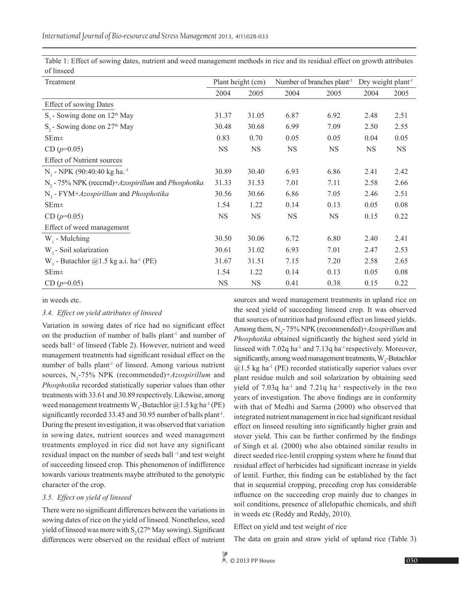Table 1: Effect of sowing dates, nutrient and weed management methods in rice and its residual effect on growth attributes of linseed

| Treatment                                                      | Plant height (cm) |           | Number of branches plant <sup>-1</sup> |           | Dry weight plant <sup>-1</sup> |           |
|----------------------------------------------------------------|-------------------|-----------|----------------------------------------|-----------|--------------------------------|-----------|
|                                                                | 2004              | 2005      | 2004                                   | 2005      | 2004                           | 2005      |
| <b>Effect of sowing Dates</b>                                  |                   |           |                                        |           |                                |           |
| $S1$ - Sowing done on 12 <sup>th</sup> May                     | 31.37             | 31.05     | 6.87                                   | 6.92      | 2.48                           | 2.51      |
| $S_2$ - Sowing done on 27 <sup>th</sup> May                    | 30.48             | 30.68     | 6.99                                   | 7.09      | 2.50                           | 2.55      |
| $SEm\pm$                                                       | 0.83              | 0.70      | 0.05                                   | 0.05      | 0.04                           | 0.05      |
| $CD (p=0.05)$                                                  | <b>NS</b>         | <b>NS</b> | <b>NS</b>                              | <b>NS</b> | <b>NS</b>                      | <b>NS</b> |
| <b>Effect of Nutrient sources</b>                              |                   |           |                                        |           |                                |           |
| N <sub>1</sub> - NPK (90:40:40 kg ha. <sup>-1</sup>            | 30.89             | 30.40     | 6.93                                   | 6.86      | 2.41                           | 2.42      |
| N <sub>2</sub> - 75% NPK (reccmd)+Azospirillum and Phosphotika | 31.33             | 31.53     | 7.01                                   | 7.11      | 2.58                           | 2.66      |
| $N3$ - FYM+Azospirillum and Phosphotika                        | 30.56             | 30.66     | 6.86                                   | 7.05      | 2.46                           | 2.51      |
| $SEm\pm$                                                       | 1.54              | 1.22      | 0.14                                   | 0.13      | 0.05                           | 0.08      |
| $CD (p=0.05)$                                                  | <b>NS</b>         | <b>NS</b> | <b>NS</b>                              | <b>NS</b> | 0.15                           | 0.22      |
| Effect of weed management                                      |                   |           |                                        |           |                                |           |
| $W_1$ - Mulching                                               | 30.50             | 30.06     | 6.72                                   | 6.80      | 2.40                           | 2.41      |
| W <sub>2</sub> - Soil solarization                             | 30.61             | 31.02     | 6.93                                   | 7.01      | 2.47                           | 2.53      |
| $W3$ - Butachlor @1.5 kg a.i. ha <sup>-1</sup> (PE)            | 31.67             | 31.51     | 7.15                                   | 7.20      | 2.58                           | 2.65      |
| $SEm\pm$                                                       | 1.54              | 1.22      | 0.14                                   | 0.13      | 0.05                           | 0.08      |
| $CD (p=0.05)$                                                  | <b>NS</b>         | <b>NS</b> | 0.41                                   | 0.38      | 0.15                           | 0.22      |

in weeds etc.

### *3.4. Effect on yield attributes of linseed*

Variation in sowing dates of rice had no significant effect on the production of number of balls plant<sup>-1</sup> and number of seeds ball<sup>-1</sup> of linseed (Table 2). However, nutrient and weed management treatments had significant residual effect on the number of balls plant<sup>-1</sup> of linseed. Among various nutrient sources, N<sub>2</sub>-75% NPK (recommended)+*Azospirillum* and *Phosphotika* recorded statistically superior values than other treatments with 33.61 and 30.89 respectively. Likewise, among weed management treatments  $W_3$ -Butachlor @1.5 kg ha<sup>-1</sup> (PE) significantly recorded 33.45 and 30.95 number of balls plant<sup>-1</sup>. During the present investigation, it was observed that variation in sowing dates, nutrient sources and weed management treatments employed in rice did not have any significant residual impact on the number of seeds ball <sup>-1</sup> and test weight of succeeding linseed crop. This phenomenon of indifference towards various treatments maybe attributed to the genotypic character of the crop.

## *3.5. Effect on yield of linseed*

There were no significant differences between the variations in sowing dates of rice on the yield of linseed. Nonetheless, seed yield of linseed was more with  $S_2 (27<sup>th</sup>$  May sowing). Significant differences were observed on the residual effect of nutrient

sources and weed management treatments in upland rice on the seed yield of succeeding linseed crop. It was observed that sources of nutrition had profound effect on linseed yields. Among them, N<sub>2</sub>-75% NPK (recommended)+*Azospirillum* and *Phosphotika* obtained significantly the highest seed yield in linseed with  $7.02q$  ha<sup>-1</sup> and  $7.13q$  ha<sup>-1</sup> respectively. Moreover, significantly, among weed management treatments,  $W_3$ -Butachlor  $(2.1.5 \text{ kg ha}^{-1}$  (PE) recorded statistically superior values over plant residue mulch and soil solarization by obtaining seed yield of  $7.03q$  ha<sup>-1</sup> and  $7.21q$  ha<sup>-1</sup> respectively in the two years of investigation. The above findings are in conformity with that of Medhi and Sarma (2000) who observed that integrated nutrient management in rice had significant residual effect on linseed resulting into significantly higher grain and stover yield. This can be further confirmed by the findings of Singh et al*.* (2000) who also obtained similar results in direct seeded rice-lentil cropping system where he found that residual effect of herbicides had significant increase in yields of lentil. Further, this finding can be established by the fact that in sequential cropping, preceding crop has considerable influence on the succeeding crop mainly due to changes in soil conditions, presence of allelopathic chemicals, and shift in weeds etc (Reddy and Reddy, 2010).

Effect on yield and test weight of rice

The data on grain and straw yield of upland rice (Table 3)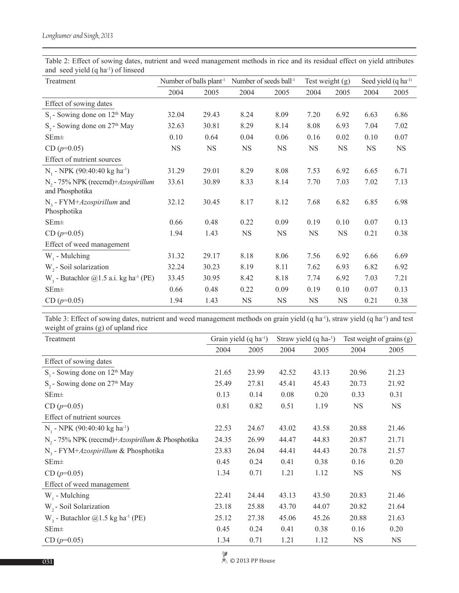| Treatment                                                          | Number of balls plant <sup>1</sup> |           | Number of seeds ball <sup>-1</sup> |             | Test weight $(g)$ |           | Seed yield (q ha <sup>-1)</sup> |           |
|--------------------------------------------------------------------|------------------------------------|-----------|------------------------------------|-------------|-------------------|-----------|---------------------------------|-----------|
|                                                                    | 2004                               | 2005      | 2004                               | 2005        | 2004              | 2005      | 2004                            | 2005      |
| Effect of sowing dates                                             |                                    |           |                                    |             |                   |           |                                 |           |
| $S1$ - Sowing done on 12 <sup>th</sup> May                         | 32.04                              | 29.43     | 8.24                               | 8.09        | 7.20              | 6.92      | 6.63                            | 6.86      |
| S <sub>2</sub> - Sowing done on 27 <sup>th</sup> May               | 32.63                              | 30.81     | 8.29                               | 8.14        | 8.08              | 6.93      | 7.04                            | 7.02      |
| $SEm\pm$                                                           | 0.10                               | 0.64      | 0.04                               | 0.06        | 0.16              | 0.02      | 0.10                            | 0.07      |
| $CD (p=0.05)$                                                      | <b>NS</b>                          | <b>NS</b> | <b>NS</b>                          | <b>NS</b>   | <b>NS</b>         | <b>NS</b> | <b>NS</b>                       | <b>NS</b> |
| Effect of nutrient sources                                         |                                    |           |                                    |             |                   |           |                                 |           |
| N <sub>1</sub> - NPK (90:40:40 kg ha <sup>-1</sup> )               | 31.29                              | 29.01     | 8.29                               | 8.08        | 7.53              | 6.92      | 6.65                            | 6.71      |
| N <sub>2</sub> - 75% NPK (reccmd)+ Azospirillum<br>and Phosphotika | 33.61                              | 30.89     | 8.33                               | 8.14        | 7.70              | 7.03      | 7.02                            | 7.13      |
| $N3$ - FYM+Azospirillum and<br>Phosphotika                         | 32.12                              | 30.45     | 8.17                               | 8.12        | 7.68              | 6.82      | 6.85                            | 6.98      |
| $SEm\pm$                                                           | 0.66                               | 0.48      | 0.22                               | 0.09        | 0.19              | 0.10      | 0.07                            | 0.13      |
| $CD (p=0.05)$                                                      | 1.94                               | 1.43      | <b>NS</b>                          | $_{\rm NS}$ | <b>NS</b>         | NS        | 0.21                            | 0.38      |
| Effect of weed management                                          |                                    |           |                                    |             |                   |           |                                 |           |
| W <sub>1</sub> - Mulching                                          | 31.32                              | 29.17     | 8.18                               | 8.06        | 7.56              | 6.92      | 6.66                            | 6.69      |
| $W2$ - Soil solarization                                           | 32.24                              | 30.23     | 8.19                               | 8.11        | 7.62              | 6.93      | 6.82                            | 6.92      |
| $W3$ - Butachlor @1.5 a.i. kg ha <sup>-1</sup> (PE)                | 33.45                              | 30.95     | 8.42                               | 8.18        | 7.74              | 6.92      | 7.03                            | 7.21      |
| $SEm\pm$                                                           | 0.66                               | 0.48      | 0.22                               | 0.09        | 0.19              | 0.10      | 0.07                            | 0.13      |
| $CD (p=0.05)$                                                      | 1.94                               | 1.43      | <b>NS</b>                          | <b>NS</b>   | <b>NS</b>         | <b>NS</b> | 0.21                            | 0.38      |

Table 2: Effect of sowing dates, nutrient and weed management methods in rice and its residual effect on yield attributes and seed yield (q ha<sup>-1</sup>) of linseed

Table 3: Effect of sowing dates, nutrient and weed management methods on grain yield (q ha<sup>-1</sup>), straw yield (q ha<sup>-1</sup>) and test weight of grains (g) of upland rice

| Treatment                                                     | Grain yield $(q \text{ ha}^{-1})$ |       | Straw yield (q ha-1) |       | Test weight of grains (g) |           |
|---------------------------------------------------------------|-----------------------------------|-------|----------------------|-------|---------------------------|-----------|
|                                                               | 2004                              | 2005  | 2004                 | 2005  | 2004                      | 2005      |
| Effect of sowing dates                                        |                                   |       |                      |       |                           |           |
| $S1$ - Sowing done on 12 <sup>th</sup> May                    | 21.65                             | 23.99 | 42.52                | 43.13 | 20.96                     | 21.23     |
| $S_2$ - Sowing done on 27 <sup>th</sup> May                   | 25.49                             | 27.81 | 45.41                | 45.43 | 20.73                     | 21.92     |
| $SEm\pm$                                                      | 0.13                              | 0.14  | 0.08                 | 0.20  | 0.33                      | 0.31      |
| $CD (p=0.05)$                                                 | 0.81                              | 0.82  | 0.51                 | 1.19  | <b>NS</b>                 | <b>NS</b> |
| Effect of nutrient sources                                    |                                   |       |                      |       |                           |           |
| N <sub>1</sub> - NPK (90:40:40 kg ha <sup>-1</sup> )          | 22.53                             | 24.67 | 43.02                | 43.58 | 20.88                     | 21.46     |
| N <sub>2</sub> - 75% NPK (reccmd)+ Azospirillum & Phosphotika | 24.35                             | 26.99 | 44.47                | 44.83 | 20.87                     | 21.71     |
| $N_{3}$ - FYM+ <i>Azospirillum &amp;</i> Phosphotika          | 23.83                             | 26.04 | 44.41                | 44.43 | 20.78                     | 21.57     |
| $SEm\pm$                                                      | 0.45                              | 0.24  | 0.41                 | 0.38  | 0.16                      | 0.20      |
| $CD (p=0.05)$                                                 | 1.34                              | 0.71  | 1.21                 | 1.12  | <b>NS</b>                 | <b>NS</b> |
| Effect of weed management                                     |                                   |       |                      |       |                           |           |
| $W1$ - Mulching                                               | 22.41                             | 24.44 | 43.13                | 43.50 | 20.83                     | 21.46     |
| W <sub>2</sub> - Soil Solarization                            | 23.18                             | 25.88 | 43.70                | 44.07 | 20.82                     | 21.64     |
| $W3$ - Butachlor @1.5 kg ha <sup>-1</sup> (PE)                | 25.12                             | 27.38 | 45.06                | 45.26 | 20.88                     | 21.63     |
| $SEm\pm$                                                      | 0.45                              | 0.24  | 0.41                 | 0.38  | 0.16                      | 0.20      |
| $CD (p=0.05)$                                                 | 1.34                              | 0.71  | 1.21                 | 1.12  | <b>NS</b>                 | <b>NS</b> |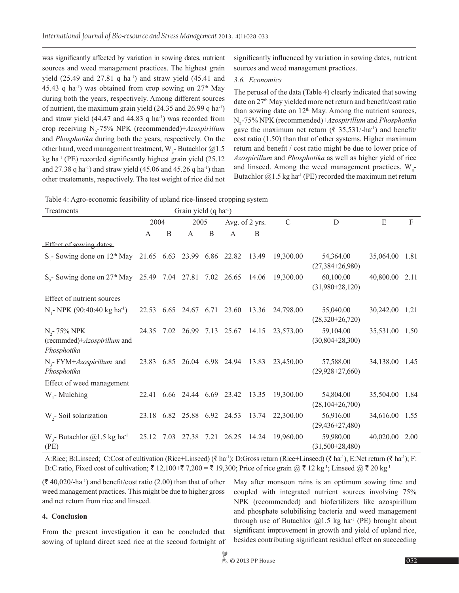was significantly affected by variation in sowing dates, nutrient sources and weed management practices. The highest grain yield  $(25.49$  and  $27.81$  q ha<sup>-1</sup>) and straw yield  $(45.41$  and 45.43 q ha<sup>-1</sup>) was obtained from crop sowing on  $27<sup>th</sup>$  May during both the years, respectively. Among different sources of nutrient, the maximum grain yield (24.35 and 26.99 q ha-1) and straw yield  $(44.47 \text{ and } 44.83 \text{ q ha}^{-1})$  was recorded from crop receiving N2 -75% NPK (recommended)+*Azospirillum* and *Phosphotika* during both the years, respectively. On the other hand, weed management treatment,  $W_{3}$ -Butachlor @1.5 kg ha $^{-1}$  (PE) recorded significantly highest grain yield (25.12) and 27.38 q ha<sup>-1</sup>) and straw yield (45.06 and 45.26 q ha<sup>-1</sup>) than other treatements, respectively. The test weight of rice did not

significantly influenced by variation in sowing dates, nutrient sources and weed management practices.

### *3.6. Economics*

The perusal of the data (Table 4) clearly indicated that sowing date on 27<sup>th</sup> May yielded more net return and benefit/cost ratio than sowing date on 12<sup>th</sup> May. Among the nutrient sources, N2 -75% NPK (recommended)+*Azospirillum* and *Phosphotika* gave the maximum net return ( $\bar{\tau}$  35,531/-ha<sup>-1</sup>) and benefit/ cost ratio (1.50) than that of other systems. Higher maximum return and benefit / cost ratio might be due to lower price of *Azospirillum* and *Phosphotika* as well as higher yield of rice and linseed. Among the weed management practices,  $W_3$ -Butachlor  $@1.5$  kg ha<sup>-1</sup> (PE) recorded the maximum net return

| Table 4: Agro-economic feasibility of upland rice-linseed cropping system        |                                   |      |                             |   |                        |                                   |               |                                    |                |      |  |
|----------------------------------------------------------------------------------|-----------------------------------|------|-----------------------------|---|------------------------|-----------------------------------|---------------|------------------------------------|----------------|------|--|
| Treatments                                                                       | Grain yield $(q \text{ ha}^{-1})$ |      |                             |   |                        |                                   |               |                                    |                |      |  |
|                                                                                  | 2004                              |      | 2005                        |   | Avg. of 2 yrs.         |                                   | $\mathcal{C}$ | D                                  | E              | F    |  |
|                                                                                  | A                                 | B    | A                           | B | A                      | B                                 |               |                                    |                |      |  |
| Effect of sowing dates                                                           |                                   |      |                             |   |                        |                                   |               |                                    |                |      |  |
| S <sub>1</sub> - Sowing done on 12 <sup>th</sup> May 21.65 6.63 23.99 6.86 22.82 |                                   |      |                             |   |                        | 13.49                             | 19,300.00     | 54,364.00<br>$(27,384+26,980)$     | 35,064.00 1.81 |      |  |
| $S_2$ - Sowing done on 27 <sup>th</sup> May 25.49 7.04 27.81 7.02 26.65 14.06    |                                   |      |                             |   |                        |                                   | 19,300.00     | 60,100.00<br>$(31,980+28,120)$     | 40,800.00 2.11 |      |  |
| Effect of nutrient sources                                                       |                                   |      |                             |   |                        |                                   |               |                                    |                |      |  |
| N <sub>1</sub> -NPK (90:40:40 kg ha <sup>-1</sup> )                              |                                   |      | 22.53 6.65 24.67 6.71 23.60 |   |                        | 13.36                             | 24.798.00     | 55,040.00<br>$(28,320+26,720)$     | 30,242.00      | 1.21 |  |
| $N_{2}$ - 75% NPK<br>(recmmded)+Azospirillum and<br>Phosphotika                  |                                   |      |                             |   |                        | 24.35 7.02 26.99 7.13 25.67 14.15 | 23,573.00     | 59,104.00<br>$(30,804+28,300)$     | 35,531.00 1.50 |      |  |
| $N_{2}$ - FYM+ <i>Azospirillum</i> and<br>Phosphotika                            | 23.83                             | 6.85 |                             |   | 26.04 6.98 24.94 13.83 |                                   | 23,450.00     | 57,588.00<br>$(29,928+27,660)$     | 34,138.00      | 1.45 |  |
| Effect of weed management                                                        |                                   |      |                             |   |                        |                                   |               |                                    |                |      |  |
| $W1$ - Mulching                                                                  | 22.41                             | 6.66 | 24.44 6.69 23.42            |   |                        | 13.35                             | 19,300.00     | 54,804.00<br>$(28,104+26,700)$     | 35,504.00      | 1.84 |  |
| $W2$ - Soil solarization                                                         | 23.18 6.82                        |      | 25.88 6.92 24.53            |   |                        | 13.74                             | 22,300.00     | 56,916.00<br>$(29, 436 + 27, 480)$ | 34,616.00 1.55 |      |  |
| W <sub>3</sub> - Butachlor $(2)$ 1.5 kg ha <sup>-1</sup><br>(PE)                 | 25.12                             | 7.03 | 27.38                       |   | 7.21 26.25             | 14.24                             | 19,960.00     | 59,980.00<br>$(31,500+28,480)$     | 40,020.00      | 2.00 |  |

A:Rice; B:Linseed; C:Cost of cultivation (Rice+Linseed) ( $\bar{\tau}$  ha<sup>-1</sup>); D:Gross return (Rice+Linseed) ( $\bar{\tau}$  ha<sup>-1</sup>), E:Net return ( $\bar{\tau}$  ha<sup>-1</sup>); F: B:C ratio, Fixed cost of cultivation;  $\bar{\tau}$  12,100+ $\bar{\tau}$  7,200 =  $\bar{\tau}$  19,300; Price of rice grain  $\partial \bar{\tau}$  12 kg<sup>-1</sup>; Linseed  $\partial \bar{\tau}$  20 kg<sup>-1</sup>

 $(\bar{\mathcal{F}} 40,020/-ha^{-1})$  and benefit/cost ratio (2.00) than that of other weed management practices. This might be due to higher gross and net return from rice and linseed.

#### **4. Conclusion**

From the present investigation it can be concluded that sowing of upland direct seed rice at the second fortnight of May after monsoon rains is an optimum sowing time and coupled with integrated nutrient sources involving 75% NPK (recommended) and biofertilizers like azospirillum and phosphate solubilising bacteria and weed management through use of Butachlor  $(2,1.5 \text{ kg ha}^{-1}$  (PE) brought about significant improvement in growth and yield of upland rice, besides contributing significant residual effect on succeeding